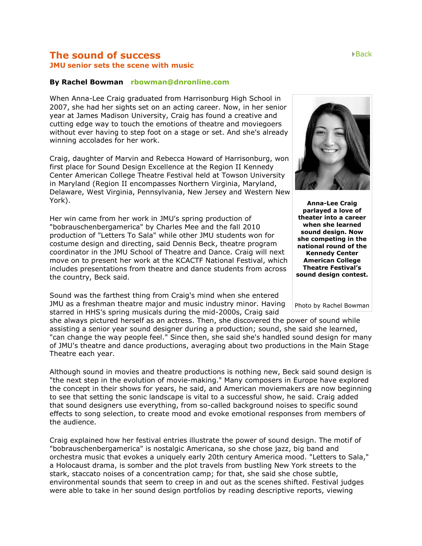## **The sound of success** [Back](http://www.rocktownweekly.com/rocktown/life.php) **JMU senior sets the scene with music**

## **By Rachel Bowman [rbowman@dnronline.com](mailto:rbowman@dnronline.com)**

When Anna-Lee Craig graduated from Harrisonburg High School in 2007, she had her sights set on an acting career. Now, in her senior year at James Madison University, Craig has found a creative and cutting edge way to touch the emotions of theatre and moviegoers without ever having to step foot on a stage or set. And she's already winning accolades for her work.

Craig, daughter of Marvin and Rebecca Howard of Harrisonburg, won first place for Sound Design Excellence at the Region II Kennedy Center American College Theatre Festival held at Towson University in Maryland (Region II encompasses Northern Virginia, Maryland, Delaware, West Virginia, Pennsylvania, New Jersey and Western New York).

Her win came from her work in JMU's spring production of "bobrauschenbergamerica" by Charles Mee and the fall 2010 production of "Letters To Sala" while other JMU students won for costume design and directing, said Dennis Beck, theatre program coordinator in the JMU School of Theatre and Dance. Craig will next move on to present her work at the KCACTF National Festival, which includes presentations from theatre and dance students from across the country, Beck said.

Sound was the farthest thing from Craig's mind when she entered JMU as a freshman theatre major and music industry minor. Having starred in HHS's spring musicals during the mid-2000s, Craig said

she always pictured herself as an actress. Then, she discovered the power of sound while assisting a senior year sound designer during a production; sound, she said she learned, "can change the way people feel." Since then, she said she's handled sound design for many of JMU's theatre and dance productions, averaging about two productions in the Main Stage Theatre each year.

Although sound in movies and theatre productions is nothing new, Beck said sound design is "the next step in the evolution of movie-making." Many composers in Europe have explored the concept in their shows for years, he said, and American moviemakers are now beginning to see that setting the sonic landscape is vital to a successful show, he said. Craig added that sound designers use everything, from so-called background noises to specific sound effects to song selection, to create mood and evoke emotional responses from members of the audience.

Craig explained how her festival entries illustrate the power of sound design. The motif of "bobrauschenbergamerica" is nostalgic Americana, so she chose jazz, big band and orchestra music that evokes a uniquely early 20th century America mood. "Letters to Sala," a Holocaust drama, is somber and the plot travels from bustling New York streets to the stark, staccato noises of a concentration camp; for that, she said she chose subtle, environmental sounds that seem to creep in and out as the scenes shifted. Festival judges were able to take in her sound design portfolios by reading descriptive reports, viewing

**Anna-Lee Craig parlayed a love of theater into a career when she learned sound design. Now she competing in the national round of the Kennedy Center American College Theatre Festival's sound design contest.**

Photo by Rachel Bowman